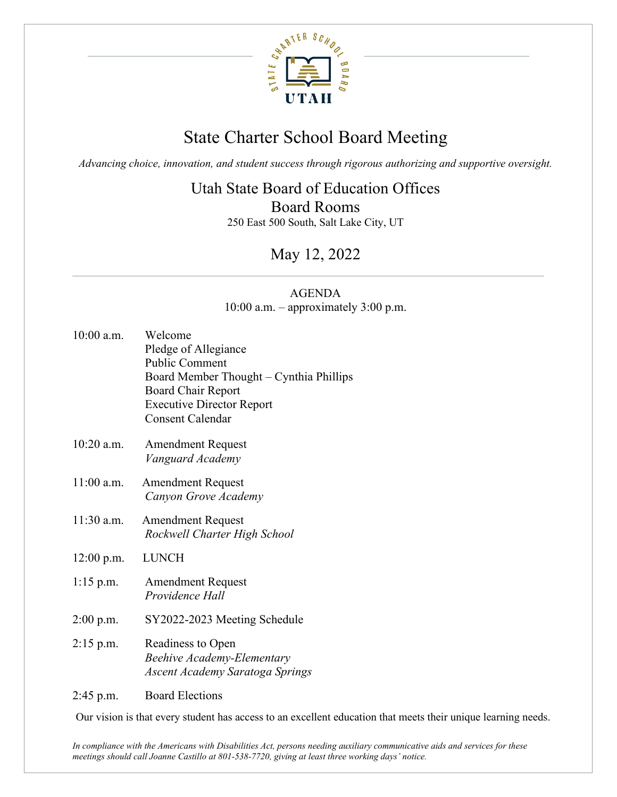

## State Charter School Board Meeting

*Advancing choice, innovation, and student success through rigorous authorizing and supportive oversight.*

#### Utah State Board of Education Offices

Board Rooms

250 East 500 South, Salt Lake City, UT

### May 12, 2022

#### AGENDA 10:00 a.m. – approximately 3:00 p.m.

| 10:00 a.m.   | Welcome<br>Pledge of Allegiance<br><b>Public Comment</b><br>Board Member Thought - Cynthia Phillips<br>Board Chair Report<br><b>Executive Director Report</b><br><b>Consent Calendar</b> |
|--------------|------------------------------------------------------------------------------------------------------------------------------------------------------------------------------------------|
| 10:20 a.m.   | <b>Amendment Request</b><br>Vanguard Academy                                                                                                                                             |
| 11:00 a.m.   | <b>Amendment Request</b><br>Canyon Grove Academy                                                                                                                                         |
| 11:30 a.m.   | <b>Amendment Request</b><br>Rockwell Charter High School                                                                                                                                 |
| $12:00$ p.m. | <b>LUNCH</b>                                                                                                                                                                             |
| $1:15$ p.m.  | <b>Amendment Request</b><br>Providence Hall                                                                                                                                              |
| $2:00$ p.m.  | SY2022-2023 Meeting Schedule                                                                                                                                                             |
| $2:15$ p.m.  | Readiness to Open<br><b>Beehive Academy-Elementary</b><br>Ascent Academy Saratoga Springs                                                                                                |
| $2:45$ p.m.  | <b>Board Elections</b>                                                                                                                                                                   |

Our vision is that every student has access to an excellent education that meets their unique learning needs.

*In compliance with the Americans with Disabilities Act, persons needing auxiliary communicative aids and services for these meetings should call Joanne Castillo at 801-538-7720, giving at least three working days' notice.*